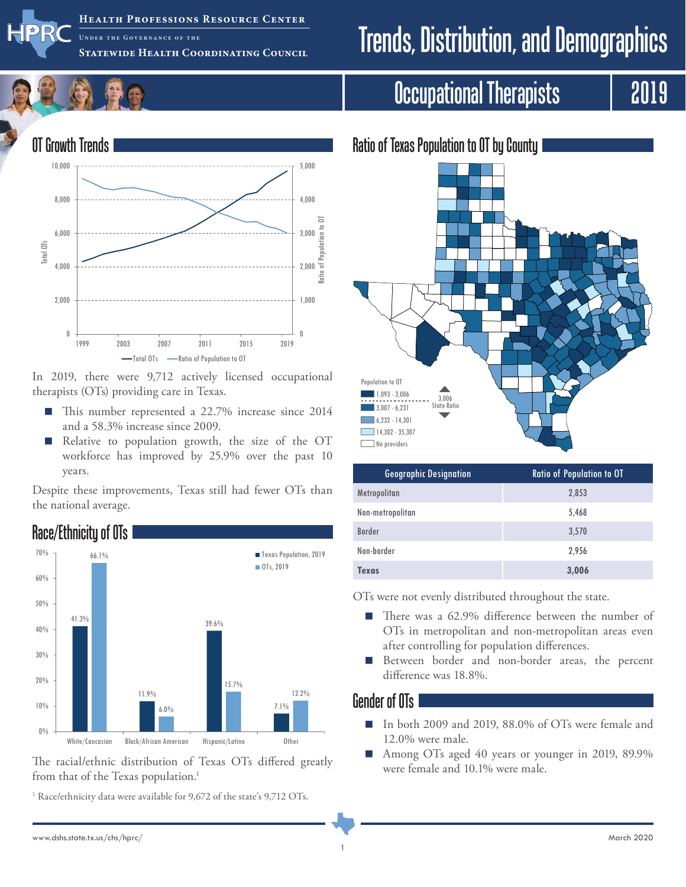

**Health Professions Resource Center UNDER Statewide Health Coordinating Council**

# Trends, Distribution, and Demographics

## Occupational Therapists | 2019



In 2019, there were 9,712 actively licensed occupational therapists (OTs) providing care in Texas.

- This number represented a 22.7% increase since 2014 and a 58.3% increase since 2009.
- Relative to population growth, the size of the OT workforce has improved by 25.9% over the past 10 years.

Despite these improvements, Texas still had fewer OTs than the national average.



The racial/ethnic distribution of Texas OTs differed greatly from that of the Texas population.<sup>1</sup>

<sup>1</sup> Race/ethnicity data were available for 9,672 of the state's 9,712 OTs.



| <b>Geographic Designation</b> | <b>Ratio of Population to OT</b> |
|-------------------------------|----------------------------------|
| Metropolitan                  | 2,853                            |
| Non-metropolitan              | 5,468                            |
| <b>Border</b>                 | 3,570                            |
| Non-border                    | 2,956                            |
| Texas                         | 3,006                            |

OTs were not evenly distributed throughout the state.

- There was a 62.9% difference between the number of OTs in metropolitan and non-metropolitan areas even after controlling for population differences.
- Between border and non-border areas, the percent difference was 18.8%.

#### Gender of OTs

- In both 2009 and 2019, 88,0% of OTs were female and 12.0% were male.
- Among OTs aged 40 years or younger in 2019, 89.9% were female and 10.1% were male.